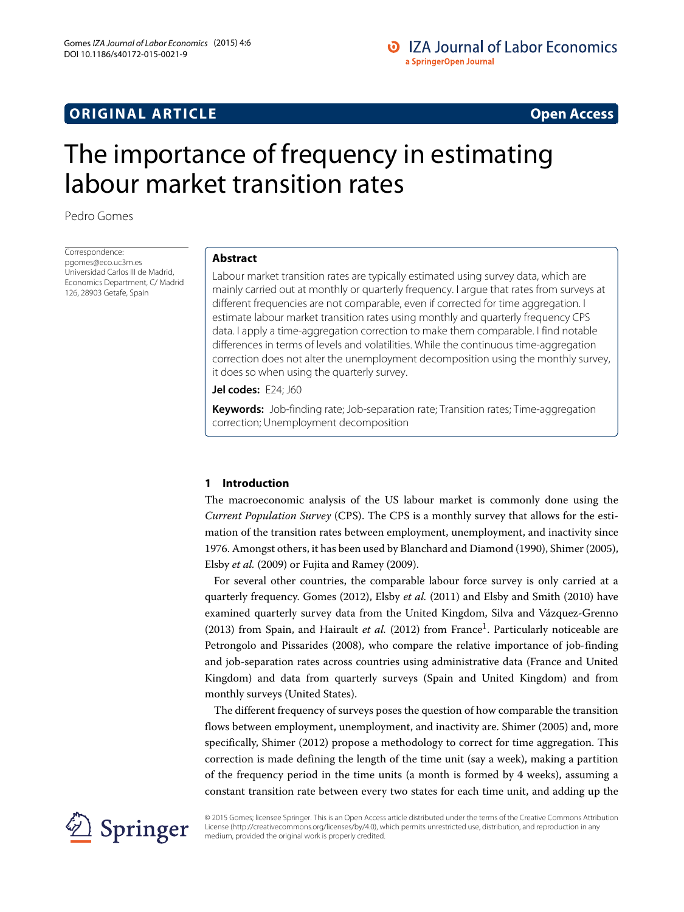# The importance of frequency in estimating labour market transition rates

Pedro Gomes

Correspondence: [pgomes@eco.uc3m.es](mailto:pgomes@eco.uc3m.es) Universidad Carlos III de Madrid, Economics Department, C/ Madrid 126, 28903 Getafe, Spain

# **Abstract**

Labour market transition rates are typically estimated using survey data, which are mainly carried out at monthly or quarterly frequency. I argue that rates from surveys at different frequencies are not comparable, even if corrected for time aggregation. I estimate labour market transition rates using monthly and quarterly frequency CPS data. I apply a time-aggregation correction to make them comparable. I find notable differences in terms of levels and volatilities. While the continuous time-aggregation correction does not alter the unemployment decomposition using the monthly survey, it does so when using the quarterly survey.

**Jel codes:** E24; J60

**Keywords:** Job-finding rate; Job-separation rate; Transition rates; Time-aggregation correction; Unemployment decomposition

# **1 Introduction**

The macroeconomic analysis of the US labour market is commonly done using the *Current Population Survey* (CPS). The CPS is a monthly survey that allows for the estimation of the transition rates between employment, unemployment, and inactivity since 1976. Amongst others, it has been used by Blanchard and Diamond [\(1990\)](#page-8-0), Shimer [\(2005\)](#page-9-0), Elsby *et al.* [\(2009\)](#page-8-1) or Fujita and Ramey [\(2009\)](#page-8-2).

For several other countries, the comparable labour force survey is only carried at a quarterly frequency. Gomes [\(2012\)](#page-8-3), Elsby *et al.* [\(2011\)](#page-8-4) and Elsby and Smith [\(2010\)](#page-8-5) have examined quarterly survey data from the United Kingdom, Silva and Vázquez-Grenno [\(2013\)](#page-9-1) from Spain, and Hairault *et al.* [\(2012\)](#page-8-6) from France<sup>1</sup>. Particularly noticeable are Petrongolo and Pissarides [\(2008\)](#page-9-2), who compare the relative importance of job-finding and job-separation rates across countries using administrative data (France and United Kingdom) and data from quarterly surveys (Spain and United Kingdom) and from monthly surveys (United States).

The different frequency of surveys poses the question of how comparable the transition flows between employment, unemployment, and inactivity are. Shimer [\(2005\)](#page-9-0) and, more specifically, Shimer [\(2012\)](#page-9-3) propose a methodology to correct for time aggregation. This correction is made defining the length of the time unit (say a week), making a partition of the frequency period in the time units (a month is formed by 4 weeks), assuming a constant transition rate between every two states for each time unit, and adding up the



© 2015 Gomes; licensee Springer. This is an Open Access article distributed under the terms of the Creative Commons Attribution License [\(http://creativecommons.org/licenses/by/4.0\)](http://creativecommons.org/licenses/by/4.0), which permits unrestricted use, distribution, and reproduction in any medium, provided the original work is properly credited.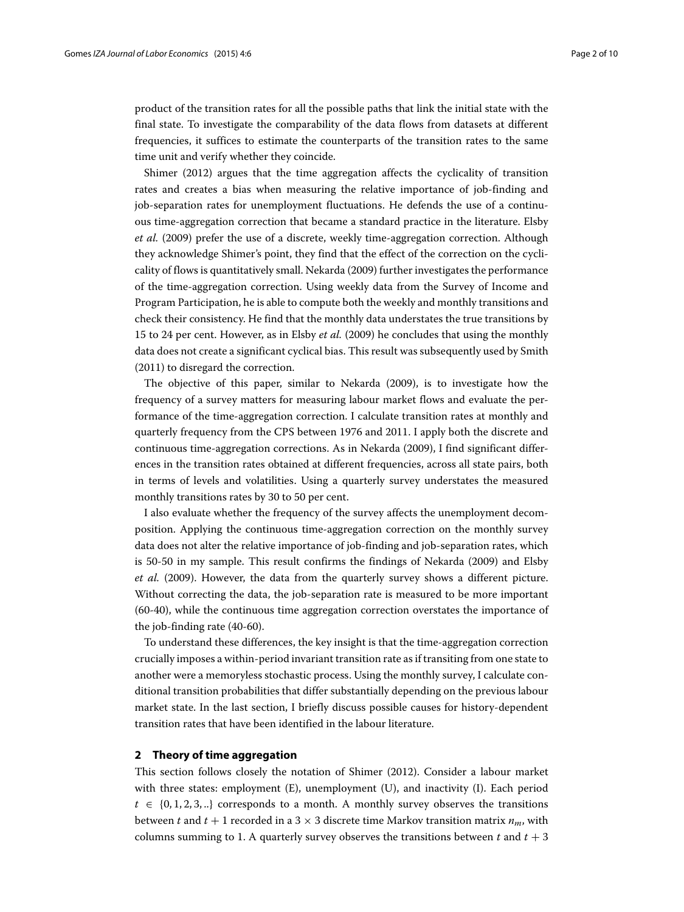product of the transition rates for all the possible paths that link the initial state with the final state. To investigate the comparability of the data flows from datasets at different frequencies, it suffices to estimate the counterparts of the transition rates to the same time unit and verify whether they coincide.

Shimer [\(2012\)](#page-9-3) argues that the time aggregation affects the cyclicality of transition rates and creates a bias when measuring the relative importance of job-finding and job-separation rates for unemployment fluctuations. He defends the use of a continuous time-aggregation correction that became a standard practice in the literature. Elsby *et al.* [\(2009\)](#page-8-1) prefer the use of a discrete, weekly time-aggregation correction. Although they acknowledge Shimer's point, they find that the effect of the correction on the cyclicality of flows is quantitatively small. Nekarda [\(2009\)](#page-9-4) further investigates the performance of the time-aggregation correction. Using weekly data from the Survey of Income and Program Participation, he is able to compute both the weekly and monthly transitions and check their consistency. He find that the monthly data understates the true transitions by 15 to 24 per cent. However, as in Elsby *et al.* [\(2009\)](#page-8-1) he concludes that using the monthly data does not create a significant cyclical bias. This result was subsequently used by Smith [\(2011\)](#page-9-5) to disregard the correction.

The objective of this paper, similar to Nekarda [\(2009\)](#page-9-4), is to investigate how the frequency of a survey matters for measuring labour market flows and evaluate the performance of the time-aggregation correction. I calculate transition rates at monthly and quarterly frequency from the CPS between 1976 and 2011. I apply both the discrete and continuous time-aggregation corrections. As in Nekarda [\(2009\)](#page-9-4), I find significant differences in the transition rates obtained at different frequencies, across all state pairs, both in terms of levels and volatilities. Using a quarterly survey understates the measured monthly transitions rates by 30 to 50 per cent.

I also evaluate whether the frequency of the survey affects the unemployment decomposition. Applying the continuous time-aggregation correction on the monthly survey data does not alter the relative importance of job-finding and job-separation rates, which is 50-50 in my sample. This result confirms the findings of Nekarda [\(2009\)](#page-9-4) and Elsby *et al.* [\(2009\)](#page-8-1). However, the data from the quarterly survey shows a different picture. Without correcting the data, the job-separation rate is measured to be more important (60-40), while the continuous time aggregation correction overstates the importance of the job-finding rate (40-60).

To understand these differences, the key insight is that the time-aggregation correction crucially imposes a within-period invariant transition rate as if transiting from one state to another were a memoryless stochastic process. Using the monthly survey, I calculate conditional transition probabilities that differ substantially depending on the previous labour market state. In the last section, I briefly discuss possible causes for history-dependent transition rates that have been identified in the labour literature.

### **2 Theory of time aggregation**

This section follows closely the notation of Shimer [\(2012\)](#page-9-3). Consider a labour market with three states: employment (E), unemployment (U), and inactivity (I). Each period  $t \in \{0, 1, 2, 3, ...\}$  corresponds to a month. A monthly survey observes the transitions between *t* and  $t + 1$  recorded in a 3  $\times$  3 discrete time Markov transition matrix  $n_m$ , with columns summing to 1. A quarterly survey observes the transitions between  $t$  and  $t + 3$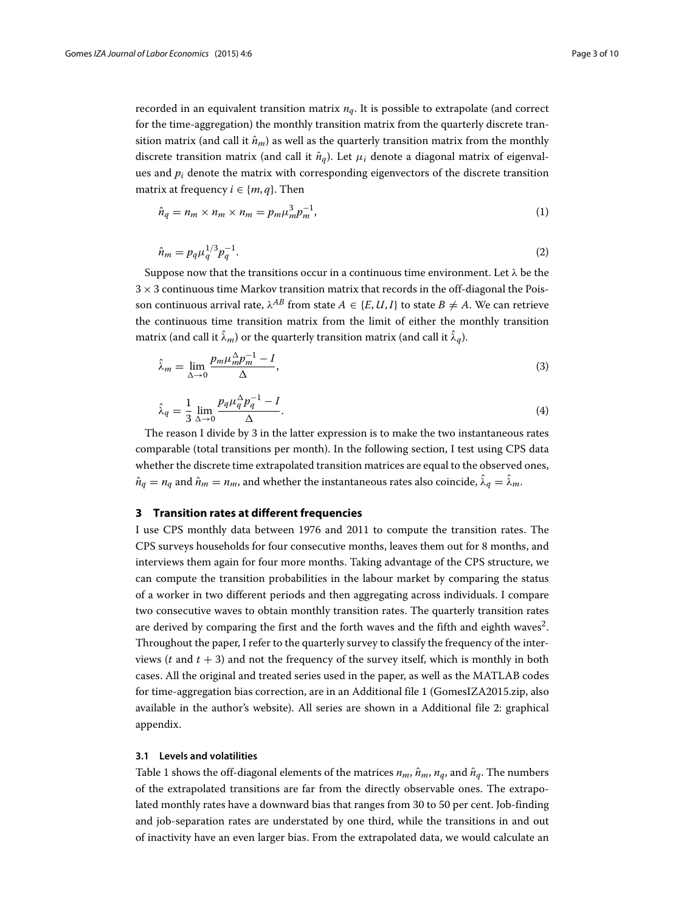recorded in an equivalent transition matrix  $n_q$ . It is possible to extrapolate (and correct for the time-aggregation) the monthly transition matrix from the quarterly discrete transition matrix (and call it  $\hat{n}_m$ ) as well as the quarterly transition matrix from the monthly discrete transition matrix (and call it  $\hat{n}_q$ ). Let  $\mu_i$  denote a diagonal matrix of eigenvalues and  $p_i$  denote the matrix with corresponding eigenvectors of the discrete transition matrix at frequency  $i \in \{m, q\}$ . Then

<span id="page-2-0"></span>
$$
\hat{n}_q = n_m \times n_m \times n_m = p_m \mu_m^3 p_m^{-1},\tag{1}
$$

<span id="page-2-1"></span>
$$
\hat{n}_m = p_q \mu_q^{1/3} p_q^{-1}.\tag{2}
$$

Suppose now that the transitions occur in a continuous time environment. Let  $\lambda$  be the  $3 \times 3$  continuous time Markov transition matrix that records in the off-diagonal the Poisson continuous arrival rate,  $\lambda^{AB}$  from state  $A \in \{E, U, I\}$  to state  $B \neq A$ . We can retrieve the continuous time transition matrix from the limit of either the monthly transition matrix (and call it  $\hat{\lambda}_m$ ) or the quarterly transition matrix (and call it  $\hat{\lambda}_q$ ).

<span id="page-2-2"></span>
$$
\hat{\lambda}_m = \lim_{\Delta \to 0} \frac{p_m \mu_m^{\Delta} p_m^{-1} - I}{\Delta},\tag{3}
$$

<span id="page-2-3"></span>
$$
\hat{\lambda}_q = \frac{1}{3} \lim_{\Delta \to 0} \frac{p_q \mu_q^{\Delta} p_q^{-1} - I}{\Delta}.
$$
\n(4)

The reason I divide by 3 in the latter expression is to make the two instantaneous rates comparable (total transitions per month). In the following section, I test using CPS data whether the discrete time extrapolated transition matrices are equal to the observed ones,  $\hat{n}_q = n_q$  and  $\hat{n}_m = n_m$ , and whether the instantaneous rates also coincide,  $\hat{\lambda}_q = \hat{\lambda}_m$ .

# **3 Transition rates at different frequencies**

I use CPS monthly data between 1976 and 2011 to compute the transition rates. The CPS surveys households for four consecutive months, leaves them out for 8 months, and interviews them again for four more months. Taking advantage of the CPS structure, we can compute the transition probabilities in the labour market by comparing the status of a worker in two different periods and then aggregating across individuals. I compare two consecutive waves to obtain monthly transition rates. The quarterly transition rates are derived by comparing the first and the forth waves and the fifth and eighth waves<sup>2</sup>. Throughout the paper, I refer to the quarterly survey to classify the frequency of the interviews ( $t$  and  $t + 3$ ) and not the frequency of the survey itself, which is monthly in both cases. All the original and treated series used in the paper, as well as the MATLAB codes for time-aggregation bias correction, are in an Additional file [1](#page-8-7) (GomesIZA2015.zip, also available in the author's website). All series are shown in a Additional file [2:](#page-8-8) graphical appendix.

### **3.1 Levels and volatilities**

Table [1](#page-3-0) shows the off-diagonal elements of the matrices  $n_m$ ,  $\hat{n}_m$ ,  $n_q$ , and  $\hat{n}_q$ . The numbers of the extrapolated transitions are far from the directly observable ones. The extrapolated monthly rates have a downward bias that ranges from 30 to 50 per cent. Job-finding and job-separation rates are understated by one third, while the transitions in and out of inactivity have an even larger bias. From the extrapolated data, we would calculate an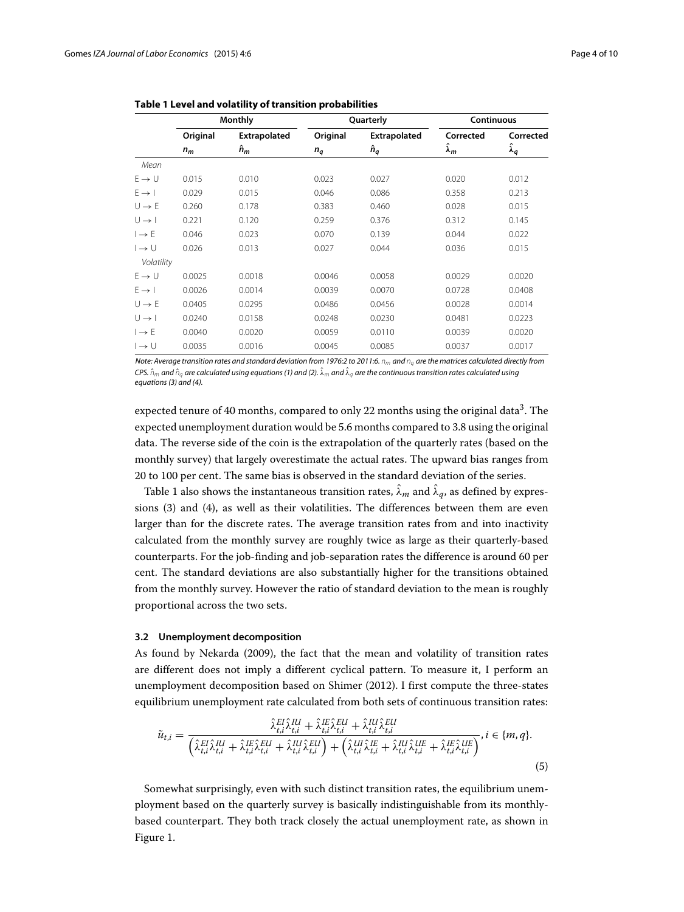<span id="page-3-0"></span>

|                   | Monthly           |                                    | Quarterly         |                             | <b>Continuous</b>              |                                |
|-------------------|-------------------|------------------------------------|-------------------|-----------------------------|--------------------------------|--------------------------------|
|                   | Original<br>$n_m$ | <b>Extrapolated</b><br>$\hat{n}_m$ | Original<br>$n_a$ | Extrapolated<br>$\hat{n}_q$ | Corrected<br>$\hat{\lambda}_m$ | Corrected<br>$\hat{\lambda}_q$ |
|                   |                   |                                    |                   |                             |                                |                                |
| Mean              |                   |                                    |                   |                             |                                |                                |
| $E \rightarrow U$ | 0.015             | 0.010                              | 0.023             | 0.027                       | 0.020                          | 0.012                          |
| $E \rightarrow 1$ | 0.029             | 0.015                              | 0.046             | 0.086                       | 0.358                          | 0.213                          |
| $U \rightarrow E$ | 0.260             | 0.178                              | 0.383             | 0.460                       | 0.028                          | 0.015                          |
| $U \rightarrow I$ | 0.221             | 0.120                              | 0.259             | 0.376                       | 0.312                          | 0.145                          |
| $I \rightarrow E$ | 0.046             | 0.023                              | 0.070             | 0.139                       | 0.044                          | 0.022                          |
| $\vdash$ $\vdash$ | 0.026             | 0.013                              | 0.027             | 0.044                       | 0.036                          | 0.015                          |
| Volatility        |                   |                                    |                   |                             |                                |                                |
| $E \rightarrow U$ | 0.0025            | 0.0018                             | 0.0046            | 0.0058                      | 0.0029                         | 0.0020                         |
| $F \rightarrow 1$ | 0.0026            | 0.0014                             | 0.0039            | 0.0070                      | 0.0728                         | 0.0408                         |
| $U \rightarrow E$ | 0.0405            | 0.0295                             | 0.0486            | 0.0456                      | 0.0028                         | 0.0014                         |
| $U \rightarrow I$ | 0.0240            | 0.0158                             | 0.0248            | 0.0230                      | 0.0481                         | 0.0223                         |
| $I \rightarrow F$ | 0.0040            | 0.0020                             | 0.0059            | 0.0110                      | 0.0039                         | 0.0020                         |
| $\vdash$ $\vdash$ | 0.0035            | 0.0016                             | 0.0045            | 0.0085                      | 0.0037                         | 0.0017                         |

**Table 1 Level and volatility of transition probabilities**

*Note: Average transition rates and standard deviation from 1976:2 to 2011:6.*  $n_m$  *and*  $n_q$  *are the matrices calculated directly from CPS.*  $\hat{n}_m$  and  $\hat{n}_q$  are calculated using equations [\(1\)](#page-2-0) and [\(2\)](#page-2-1).  $\hat{\lambda}_m$  and  $\hat{\lambda}_q$  are the continuous transition rates calculated using *equations [\(3\)](#page-2-2) and [\(4\)](#page-2-3).*

expected tenure of 40 months, compared to only 22 months using the original data<sup>3</sup>. The expected unemployment duration would be 5.6 months compared to 3.8 using the original data. The reverse side of the coin is the extrapolation of the quarterly rates (based on the monthly survey) that largely overestimate the actual rates. The upward bias ranges from 20 to 100 per cent. The same bias is observed in the standard deviation of the series.

Table [1](#page-3-0) also shows the instantaneous transition rates,  $\hat{\lambda}_m$  and  $\hat{\lambda}_q$ , as defined by expressions [\(3\)](#page-2-2) and [\(4\)](#page-2-3), as well as their volatilities. The differences between them are even larger than for the discrete rates. The average transition rates from and into inactivity calculated from the monthly survey are roughly twice as large as their quarterly-based counterparts. For the job-finding and job-separation rates the difference is around 60 per cent. The standard deviations are also substantially higher for the transitions obtained from the monthly survey. However the ratio of standard deviation to the mean is roughly proportional across the two sets.

#### **3.2 Unemployment decomposition**

As found by Nekarda [\(2009\)](#page-9-4), the fact that the mean and volatility of transition rates are different does not imply a different cyclical pattern. To measure it, I perform an unemployment decomposition based on Shimer [\(2012\)](#page-9-3). I first compute the three-states equilibrium unemployment rate calculated from both sets of continuous transition rates:

$$
\tilde{u}_{t,i} = \frac{\hat{\lambda}_{t,i}^{EI}\hat{\lambda}_{t,i}^{III} + \hat{\lambda}_{t,i}^{IE}\hat{\lambda}_{t,i}^{EU} + \hat{\lambda}_{t,i}^{III}\hat{\lambda}_{t,i}^{EU}}{\left(\hat{\lambda}_{t,i}^{EI}\hat{\lambda}_{t,i}^{III} + \hat{\lambda}_{t,i}^{IE}\hat{\lambda}_{t,i}^{EU} + \hat{\lambda}_{t,i}^{III}\hat{\lambda}_{t,i}^{EU}\right) + \left(\hat{\lambda}_{t,i}^{III}\hat{\lambda}_{t,i}^{IE} + \hat{\lambda}_{t,i}^{III}\hat{\lambda}_{t,i}^{UE} + \hat{\lambda}_{t,i}^{IE}\hat{\lambda}_{t,i}^{UE}\right)}, i \in \{m, q\}.
$$
\n
$$
(5)
$$

Somewhat surprisingly, even with such distinct transition rates, the equilibrium unemployment based on the quarterly survey is basically indistinguishable from its monthlybased counterpart. They both track closely the actual unemployment rate, as shown in Figure [1.](#page-4-0)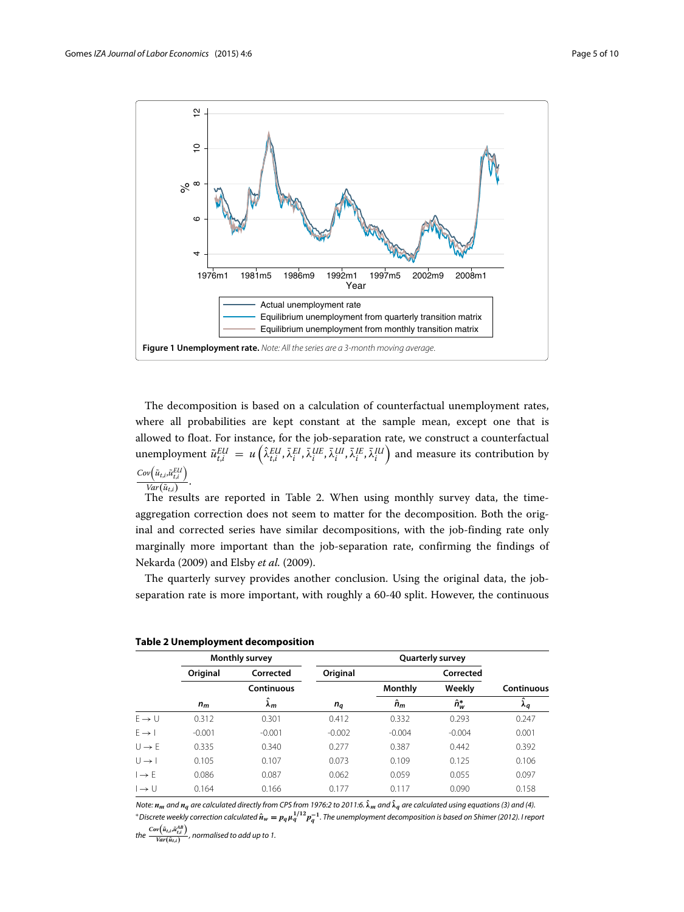

<span id="page-4-0"></span>The decomposition is based on a calculation of counterfactual unemployment rates, where all probabilities are kept constant at the sample mean, except one that is allowed to float. For instance, for the job-separation rate, we construct a counterfactual unemployment  $\tilde{u}^{EU}_{t,i}~=~u\left(\hat{\lambda}^{EU}_{t,i},\bar{\lambda}^{EI}_i,\bar{\lambda}^{UE}_i,\bar{\lambda}^{UL}_i,\bar{\lambda}^{IE}_i,\bar{\lambda}^{IU}_i\right)$  and measure its contribution by  $Cov\left(\tilde{u}_{t,i}, \tilde{u}_{t,i}^{EU}\right)$  $\overrightarrow{Var(\tilde{u}_{t,i})}$ 

The results are reported in Table [2.](#page-4-1) When using monthly survey data, the timeaggregation correction does not seem to matter for the decomposition. Both the original and corrected series have similar decompositions, with the job-finding rate only marginally more important than the job-separation rate, confirming the findings of Nekarda [\(2009\)](#page-9-4) and Elsby *et al.* [\(2009\)](#page-8-1).

The quarterly survey provides another conclusion. Using the original data, the jobseparation rate is more important, with roughly a 60-40 split. However, the continuous

<span id="page-4-1"></span>

|                    |          | <b>Monthly survey</b> | <b>Quarterly survey</b> |             |               |                   |
|--------------------|----------|-----------------------|-------------------------|-------------|---------------|-------------------|
|                    | Original | Corrected             | Original                |             | Corrected     |                   |
|                    |          | Continuous            |                         | Monthly     | Weekly        | Continuous        |
|                    | $n_m$    | $\lambda_m$           | $n_a$                   | $\hat{n}_m$ | $\hat{n}_w^*$ | $\hat{\lambda}_q$ |
| $E \rightarrow U$  | 0.312    | 0.301                 | 0.412                   | 0.332       | 0.293         | 0.247             |
| $E \rightarrow 1$  | $-0.001$ | $-0.001$              | $-0.002$                | $-0.004$    | $-0.004$      | 0.001             |
| $U \rightarrow F$  | 0.335    | 0.340                 | 0.277                   | 0.387       | 0.442         | 0.392             |
| $U \rightarrow I$  | 0.105    | 0.107                 | 0.073                   | 0.109       | 0.125         | 0.106             |
| $I \rightarrow F$  | 0.086    | 0.087                 | 0.062                   | 0.059       | 0.055         | 0.097             |
| $\rightarrow \cup$ | 0.164    | 0.166                 | 0.177                   | 0.117       | 0.090         | 0.158             |

**Table 2 Unemployment decomposition**

Note:  $n_m$  and  $n_a$  are calculated directly from CPS from 1976:2 to 2011:6.  $\hat{\lambda}_m$  and  $\hat{\lambda}_a$  are calculated using equations [\(3\)](#page-2-2) and [\(4\)](#page-2-3). \*Discrete weekly correction calculated  $\hat{n}_w=p_q\mu_q^{1/12}p_q^{-1}$ . The unemployment decomposition is based on Shimer [\(2012\)](#page-9-3). I report

the  $\frac{Cov\left(\tilde{u}_{t,i},\tilde{u}^{AB}_{t,i}\right)}{Var\left(\tilde{u}_{t,i}\right)}$ , normalised to add up to 1.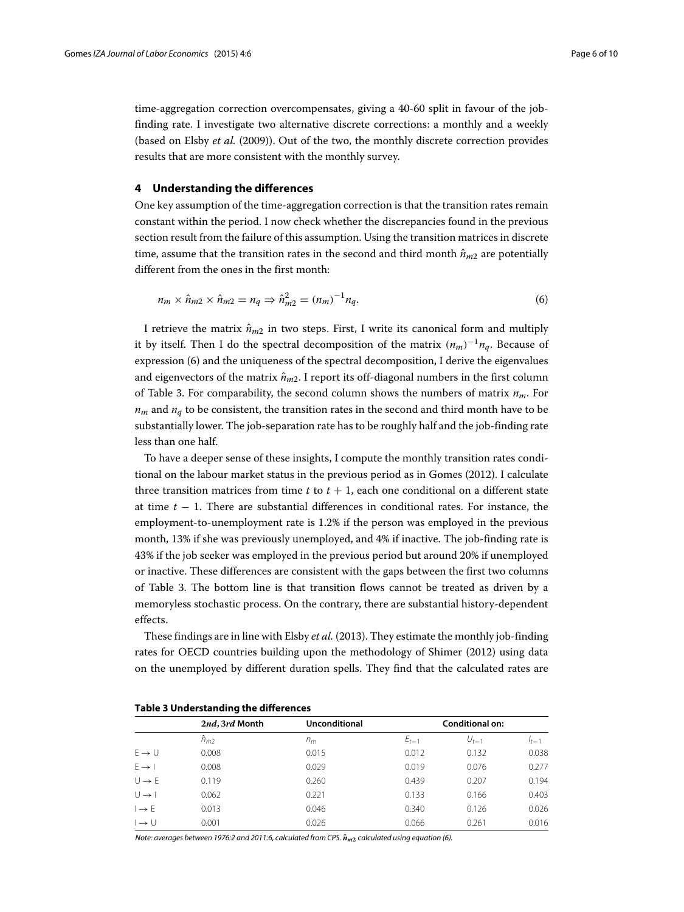time-aggregation correction overcompensates, giving a 40-60 split in favour of the jobfinding rate. I investigate two alternative discrete corrections: a monthly and a weekly (based on Elsby *et al.* [\(2009\)](#page-8-1)). Out of the two, the monthly discrete correction provides results that are more consistent with the monthly survey.

# **4 Understanding the differences**

One key assumption of the time-aggregation correction is that the transition rates remain constant within the period. I now check whether the discrepancies found in the previous section result from the failure of this assumption. Using the transition matrices in discrete time, assume that the transition rates in the second and third month  $\hat{n}_{m2}$  are potentially different from the ones in the first month:

<span id="page-5-0"></span>
$$
n_m \times \hat{n}_{m2} \times \hat{n}_{m2} = n_q \Rightarrow \hat{n}_{m2}^2 = (n_m)^{-1} n_q. \tag{6}
$$

I retrieve the matrix  $\hat{n}_{m2}$  in two steps. First, I write its canonical form and multiply it by itself. Then I do the spectral decomposition of the matrix  $(n_m)^{-1}n_q$ . Because of expression [\(6\)](#page-5-0) and the uniqueness of the spectral decomposition, I derive the eigenvalues and eigenvectors of the matrix  $\hat{n}_{m2}$ . I report its off-diagonal numbers in the first column of Table [3.](#page-5-1) For comparability, the second column shows the numbers of matrix *nm*. For  $n_m$  and  $n_q$  to be consistent, the transition rates in the second and third month have to be substantially lower. The job-separation rate has to be roughly half and the job-finding rate less than one half.

To have a deeper sense of these insights, I compute the monthly transition rates conditional on the labour market status in the previous period as in Gomes [\(2012\)](#page-8-3). I calculate three transition matrices from time  $t$  to  $t + 1$ , each one conditional on a different state at time *t* − 1. There are substantial differences in conditional rates. For instance, the employment-to-unemployment rate is 1.2% if the person was employed in the previous month, 13% if she was previously unemployed, and 4% if inactive. The job-finding rate is 43% if the job seeker was employed in the previous period but around 20% if unemployed or inactive. These differences are consistent with the gaps between the first two columns of Table [3.](#page-5-1) The bottom line is that transition flows cannot be treated as driven by a memoryless stochastic process. On the contrary, there are substantial history-dependent effects.

These findings are in line with Elsby *et al.* [\(2013\)](#page-8-9). They estimate the monthly job-finding rates for OECD countries building upon the methodology of Shimer [\(2012\)](#page-9-3) using data on the unemployed by different duration spells. They find that the calculated rates are

<span id="page-5-1"></span>

| 2nd, 3rd Month<br><b>Unconditional</b>        | <b>Conditional on:</b><br>$U_{t-1}$ |           |
|-----------------------------------------------|-------------------------------------|-----------|
|                                               |                                     |           |
| $\hat{n}_{m2}$<br>$E_{t-1}$<br>n <sub>m</sub> |                                     | $l_{t-1}$ |
| $E \rightarrow U$<br>0.008<br>0.015<br>0.012  | 0.132                               | 0.038     |
| $E \rightarrow 1$<br>0.008<br>0.029<br>0.019  | 0.076                               | 0.277     |
| $U \rightarrow E$<br>0.119<br>0.260<br>0.439  | 0.207                               | 0.194     |
| $U \rightarrow I$<br>0.133<br>0.062<br>0.221  | 0.166                               | 0.403     |
| $I \rightarrow E$<br>0.013<br>0.046<br>0.340  | 0.126                               | 0.026     |
| 0.026<br>$l \rightarrow U$<br>0.001<br>0.066  | 0.261                               | 0.016     |

**Table 3 Understanding the differences**

*Note: averages between 1976:2 and 2011:6, calculated from CPS.*  $\hat{n}_{m2}$  *calculated using equation [\(6\)](#page-5-0)*.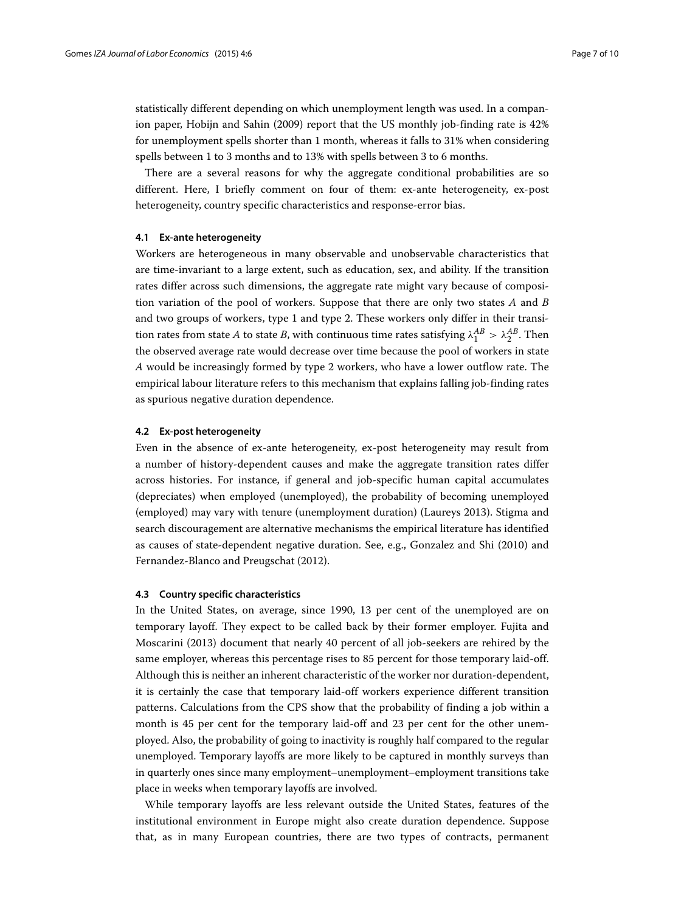statistically different depending on which unemployment length was used. In a companion paper, Hobijn and Sahin [\(2009\)](#page-8-10) report that the US monthly job-finding rate is 42% for unemployment spells shorter than 1 month, whereas it falls to 31% when considering spells between 1 to 3 months and to 13% with spells between 3 to 6 months.

There are a several reasons for why the aggregate conditional probabilities are so different. Here, I briefly comment on four of them: ex-ante heterogeneity, ex-post heterogeneity, country specific characteristics and response-error bias.

#### **4.1 Ex-ante heterogeneity**

Workers are heterogeneous in many observable and unobservable characteristics that are time-invariant to a large extent, such as education, sex, and ability. If the transition rates differ across such dimensions, the aggregate rate might vary because of composition variation of the pool of workers. Suppose that there are only two states *A* and *B* and two groups of workers, type 1 and type 2. These workers only differ in their transition rates from state *A* to state *B*, with continuous time rates satisfying  $\lambda_1^{AB} > \lambda_2^{AB}$ . Then the observed average rate would decrease over time because the pool of workers in state *A* would be increasingly formed by type 2 workers, who have a lower outflow rate. The empirical labour literature refers to this mechanism that explains falling job-finding rates as spurious negative duration dependence.

### **4.2 Ex-post heterogeneity**

Even in the absence of ex-ante heterogeneity, ex-post heterogeneity may result from a number of history-dependent causes and make the aggregate transition rates differ across histories. For instance, if general and job-specific human capital accumulates (depreciates) when employed (unemployed), the probability of becoming unemployed (employed) may vary with tenure (unemployment duration) (Laureys [2013\)](#page-8-11). Stigma and search discouragement are alternative mechanisms the empirical literature has identified as causes of state-dependent negative duration. See, e.g., Gonzalez and Shi [\(2010\)](#page-8-12) and Fernandez-Blanco and Preugschat [\(2012\)](#page-8-13).

#### **4.3 Country specific characteristics**

In the United States, on average, since 1990, 13 per cent of the unemployed are on temporary layoff. They expect to be called back by their former employer. Fujita and Moscarini [\(2013\)](#page-8-14) document that nearly 40 percent of all job-seekers are rehired by the same employer, whereas this percentage rises to 85 percent for those temporary laid-off. Although this is neither an inherent characteristic of the worker nor duration-dependent, it is certainly the case that temporary laid-off workers experience different transition patterns. Calculations from the CPS show that the probability of finding a job within a month is 45 per cent for the temporary laid-off and 23 per cent for the other unemployed. Also, the probability of going to inactivity is roughly half compared to the regular unemployed. Temporary layoffs are more likely to be captured in monthly surveys than in quarterly ones since many employment–unemployment–employment transitions take place in weeks when temporary layoffs are involved.

While temporary layoffs are less relevant outside the United States, features of the institutional environment in Europe might also create duration dependence. Suppose that, as in many European countries, there are two types of contracts, permanent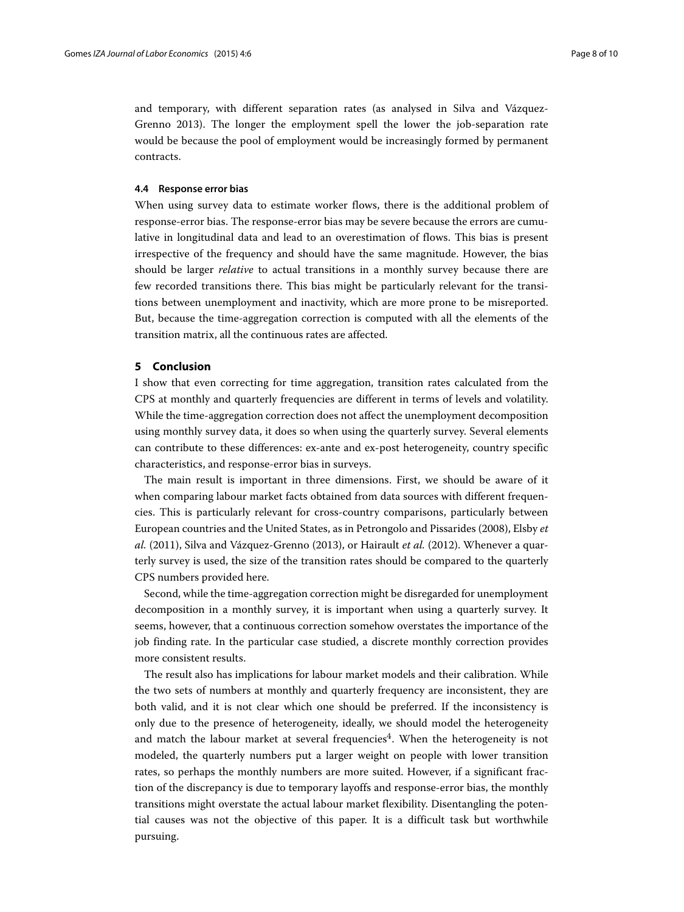and temporary, with different separation rates (as analysed in Silva and Vázquez-Grenno [2013\)](#page-9-1). The longer the employment spell the lower the job-separation rate would be because the pool of employment would be increasingly formed by permanent contracts.

# **4.4 Response error bias**

When using survey data to estimate worker flows, there is the additional problem of response-error bias. The response-error bias may be severe because the errors are cumulative in longitudinal data and lead to an overestimation of flows. This bias is present irrespective of the frequency and should have the same magnitude. However, the bias should be larger *relative* to actual transitions in a monthly survey because there are few recorded transitions there. This bias might be particularly relevant for the transitions between unemployment and inactivity, which are more prone to be misreported. But, because the time-aggregation correction is computed with all the elements of the transition matrix, all the continuous rates are affected.

### **5 Conclusion**

I show that even correcting for time aggregation, transition rates calculated from the CPS at monthly and quarterly frequencies are different in terms of levels and volatility. While the time-aggregation correction does not affect the unemployment decomposition using monthly survey data, it does so when using the quarterly survey. Several elements can contribute to these differences: ex-ante and ex-post heterogeneity, country specific characteristics, and response-error bias in surveys.

The main result is important in three dimensions. First, we should be aware of it when comparing labour market facts obtained from data sources with different frequencies. This is particularly relevant for cross-country comparisons, particularly between European countries and the United States, as in Petrongolo and Pissarides [\(2008\)](#page-9-2), Elsby *et al.* [\(2011\)](#page-8-4), Silva and Vázquez-Grenno [\(2013\)](#page-9-1), or Hairault *et al.* [\(2012\)](#page-8-6). Whenever a quarterly survey is used, the size of the transition rates should be compared to the quarterly CPS numbers provided here.

Second, while the time-aggregation correction might be disregarded for unemployment decomposition in a monthly survey, it is important when using a quarterly survey. It seems, however, that a continuous correction somehow overstates the importance of the job finding rate. In the particular case studied, a discrete monthly correction provides more consistent results.

The result also has implications for labour market models and their calibration. While the two sets of numbers at monthly and quarterly frequency are inconsistent, they are both valid, and it is not clear which one should be preferred. If the inconsistency is only due to the presence of heterogeneity, ideally, we should model the heterogeneity and match the labour market at several frequencies<sup>4</sup>. When the heterogeneity is not modeled, the quarterly numbers put a larger weight on people with lower transition rates, so perhaps the monthly numbers are more suited. However, if a significant fraction of the discrepancy is due to temporary layoffs and response-error bias, the monthly transitions might overstate the actual labour market flexibility. Disentangling the potential causes was not the objective of this paper. It is a difficult task but worthwhile pursuing.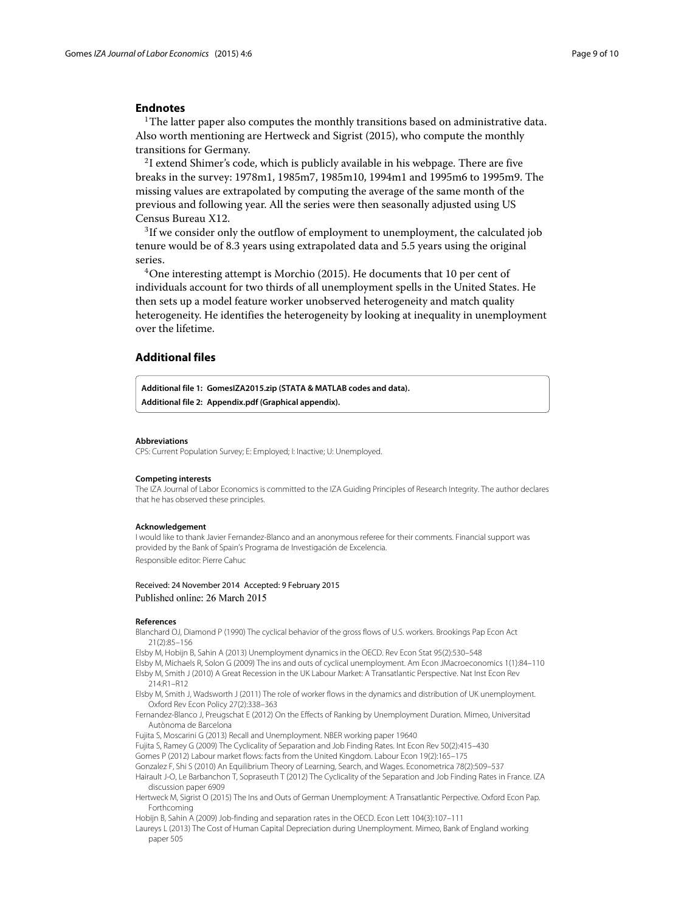#### **Endnotes**

 $1$ <sup>1</sup>The latter paper also computes the monthly transitions based on administrative data. Also worth mentioning are Hertweck and Sigrist [\(2015\)](#page-8-15), who compute the monthly transitions for Germany.

2I extend Shimer's code, which is publicly available in his webpage. There are five breaks in the survey: 1978m1, 1985m7, 1985m10, 1994m1 and 1995m6 to 1995m9. The missing values are extrapolated by computing the average of the same month of the previous and following year. All the series were then seasonally adjusted using US Census Bureau X12.

<sup>3</sup>If we consider only the outflow of employment to unemployment, the calculated job tenure would be of 8.3 years using extrapolated data and 5.5 years using the original series.

<sup>4</sup>One interesting attempt is Morchio [\(2015\)](#page-9-6). He documents that 10 per cent of individuals account for two thirds of all unemployment spells in the United States. He then sets up a model feature worker unobserved heterogeneity and match quality heterogeneity. He identifies the heterogeneity by looking at inequality in unemployment over the lifetime.

# **Additional files**

<span id="page-8-8"></span><span id="page-8-7"></span>**[Additional file 1:](http://www.izajole.com/content/supplementary/s40172-015-0021-9-s1.zip) GomesIZA2015.zip (STATA & MATLAB codes and data). [Additional file 2:](http://www.izajole.com/content/supplementary/s40172-015-0021-9-s2.pdf) Appendix.pdf (Graphical appendix).**

#### **Abbreviations**

CPS: Current Population Survey; E: Employed; I: Inactive; U: Unemployed.

#### **Competing interests**

The IZA Journal of Labor Economics is committed to the IZA Guiding Principles of Research Integrity. The author declares that he has observed these principles.

#### **Acknowledgement**

I would like to thank Javier Fernandez-Blanco and an anonymous referee for their comments. Financial support was provided by the Bank of Spain's Programa de Investigación de Excelencia. Responsible editor: Pierre Cahuc

#### Received: 24 November 2014 Accepted: 9 February 2015 Published online: 26 March 2015

#### **References**

<span id="page-8-0"></span>Blanchard OJ, Diamond P (1990) The cyclical behavior of the gross flows of U.S. workers. Brookings Pap Econ Act 21(2):85–156

<span id="page-8-9"></span>Elsby M, Hobijn B, Sahin A (2013) Unemployment dynamics in the OECD. Rev Econ Stat 95(2):530–548

<span id="page-8-5"></span><span id="page-8-1"></span>Elsby M, Michaels R, Solon G (2009) The ins and outs of cyclical unemployment. Am Econ JMacroeconomics 1(1):84–110 Elsby M, Smith J (2010) A Great Recession in the UK Labour Market: A Transatlantic Perspective. Nat Inst Econ Rev 214:R1–R12

<span id="page-8-4"></span>Elsby M, Smith J, Wadsworth J (2011) The role of worker flows in the dynamics and distribution of UK unemployment. Oxford Rev Econ Policy 27(2):338–363

<span id="page-8-13"></span>Fernandez-Blanco J, Preugschat E (2012) On the Effects of Ranking by Unemployment Duration. Mimeo, Universitad Autònoma de Barcelona

<span id="page-8-14"></span>Fujita S, Moscarini G (2013) Recall and Unemployment. NBER working paper 19640

<span id="page-8-2"></span>Fujita S, Ramey G (2009) The Cyclicality of Separation and Job Finding Rates. Int Econ Rev 50(2):415–430

<span id="page-8-3"></span>Gomes P (2012) Labour market flows: facts from the United Kingdom. Labour Econ 19(2):165–175

<span id="page-8-12"></span>Gonzalez F, Shi S (2010) An Equilibrium Theory of Learning, Search, and Wages. Econometrica 78(2):509–537

<span id="page-8-6"></span>Hairault J-O, Le Barbanchon T, Sopraseuth T (2012) The Cyclicality of the Separation and Job Finding Rates in France. IZA discussion paper 6909

<span id="page-8-15"></span>Hertweck M, Sigrist O (2015) The Ins and Outs of German Unemployment: A Transatlantic Perpective. Oxford Econ Pap. Forthcoming

<span id="page-8-10"></span>Hobijn B, Sahin A (2009) Job-finding and separation rates in the OECD. Econ Lett 104(3):107–111

<span id="page-8-11"></span>Laureys L (2013) The Cost of Human Capital Depreciation during Unemployment. Mimeo, Bank of England working paper 505